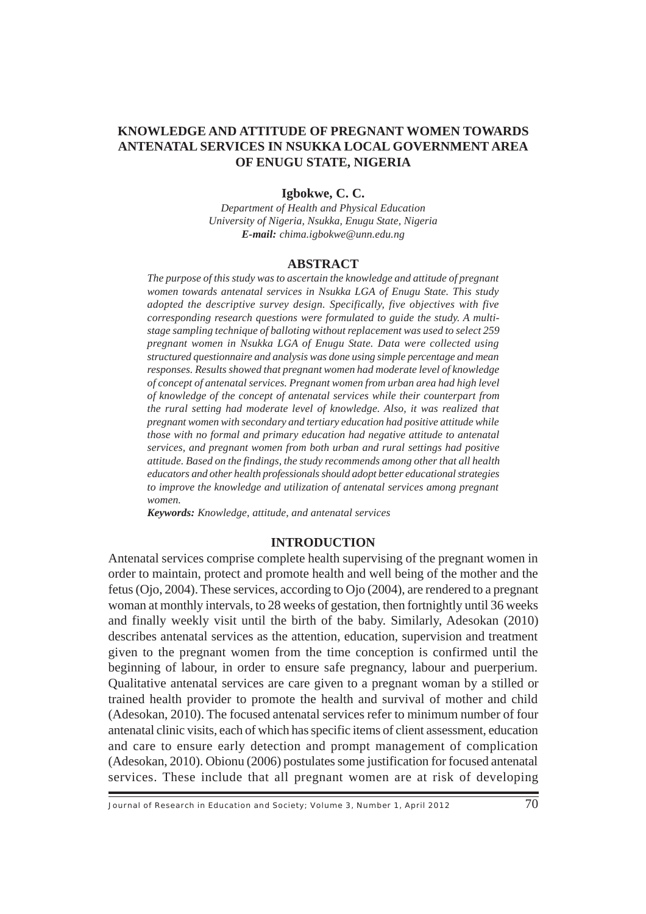# **KNOWLEDGE AND ATTITUDE OF PREGNANT WOMEN TOWARDS ANTENATAL SERVICES IN NSUKKA LOCAL GOVERNMENT AREA OF ENUGU STATE, NIGERIA**

### **Igbokwe, C. C.**

*Department of Health and Physical Education University of Nigeria, Nsukka, Enugu State, Nigeria E-mail: chima.igbokwe@unn.edu.ng*

#### **ABSTRACT**

*The purpose of this study was to ascertain the knowledge and attitude of pregnant women towards antenatal services in Nsukka LGA of Enugu State. This study adopted the descriptive survey design. Specifically, five objectives with five corresponding research questions were formulated to guide the study. A multistage sampling technique of balloting without replacement was used to select 259 pregnant women in Nsukka LGA of Enugu State. Data were collected using structured questionnaire and analysis was done using simple percentage and mean responses. Results showed that pregnant women had moderate level of knowledge of concept of antenatal services. Pregnant women from urban area had high level of knowledge of the concept of antenatal services while their counterpart from the rural setting had moderate level of knowledge. Also, it was realized that pregnant women with secondary and tertiary education had positive attitude while those with no formal and primary education had negative attitude to antenatal services, and pregnant women from both urban and rural settings had positive attitude. Based on the findings, the study recommends among other that all health educators and other health professionals should adopt better educational strategies to improve the knowledge and utilization of antenatal services among pregnant women.*

*Keywords: Knowledge, attitude, and antenatal services*

## **INTRODUCTION**

antenatal clinic visits, each of which has specific items of client assessment, education Antenatal services comprise complete health supervising of the pregnant women in order to maintain, protect and promote health and well being of the mother and the fetus (Ojo, 2004). These services, according to Ojo (2004), are rendered to a pregnant woman at monthly intervals, to 28 weeks of gestation, then fortnightly until 36 weeks and finally weekly visit until the birth of the baby. Similarly, Adesokan (2010) describes antenatal services as the attention, education, supervision and treatment given to the pregnant women from the time conception is confirmed until the beginning of labour, in order to ensure safe pregnancy, labour and puerperium. Qualitative antenatal services are care given to a pregnant woman by a stilled or trained health provider to promote the health and survival of mother and child (Adesokan, 2010). The focused antenatal services refer to minimum number of four and care to ensure early detection and prompt management of complication (Adesokan, 2010). Obionu (2006) postulates some justification for focused antenatal services. These include that all pregnant women are at risk of developing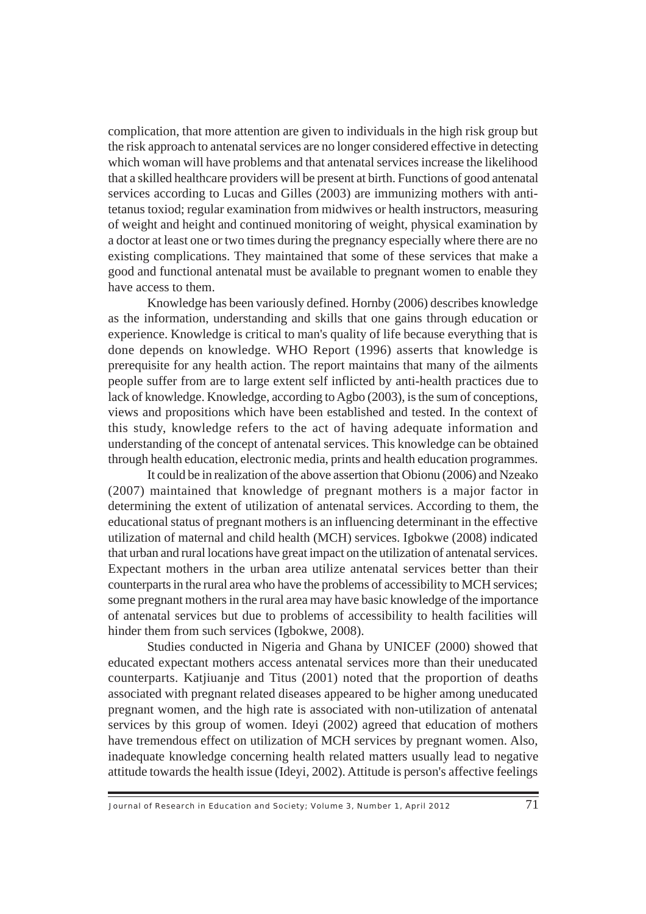a doctor at least one or two times during the pregnancy especially where there are no complication, that more attention are given to individuals in the high risk group but the risk approach to antenatal services are no longer considered effective in detecting which woman will have problems and that antenatal services increase the likelihood that a skilled healthcare providers will be present at birth. Functions of good antenatal services according to Lucas and Gilles (2003) are immunizing mothers with antitetanus toxiod; regular examination from midwives or health instructors, measuring of weight and height and continued monitoring of weight, physical examination by existing complications. They maintained that some of these services that make a good and functional antenatal must be available to pregnant women to enable they have access to them.

Knowledge has been variously defined. Hornby (2006) describes knowledge as the information, understanding and skills that one gains through education or experience. Knowledge is critical to man's quality of life because everything that is done depends on knowledge. WHO Report (1996) asserts that knowledge is prerequisite for any health action. The report maintains that many of the ailments people suffer from are to large extent self inflicted by anti-health practices due to lack of knowledge. Knowledge, according to Agbo (2003), is the sum of conceptions, views and propositions which have been established and tested. In the context of this study, knowledge refers to the act of having adequate information and understanding of the concept of antenatal services. This knowledge can be obtained through health education, electronic media, prints and health education programmes.

It could be in realization of the above assertion that Obionu (2006) and Nzeako (2007) maintained that knowledge of pregnant mothers is a major factor in determining the extent of utilization of antenatal services. According to them, the educational status of pregnant mothers is an influencing determinant in the effective utilization of maternal and child health (MCH) services. Igbokwe (2008) indicated that urban and rural locations have great impact on the utilization of antenatal services. Expectant mothers in the urban area utilize antenatal services better than their counterparts in the rural area who have the problems of accessibility to MCH services; some pregnant mothers in the rural area may have basic knowledge of the importance of antenatal services but due to problems of accessibility to health facilities will hinder them from such services (Igbokwe, 2008).

services by this group of women. Ideyi (2002) agreed that education of mothers have tremendous effect on utilization of MCH services by pregnant women. Also, Studies conducted in Nigeria and Ghana by UNICEF (2000) showed that educated expectant mothers access antenatal services more than their uneducated counterparts. Katjiuanje and Titus (2001) noted that the proportion of deaths associated with pregnant related diseases appeared to be higher among uneducated pregnant women, and the high rate is associated with non-utilization of antenatal inadequate knowledge concerning health related matters usually lead to negative attitude towards the health issue (Ideyi, 2002). Attitude is person's affective feelings

Journal of Research in Education and Society; Volume 3, Number 1, April 2012 71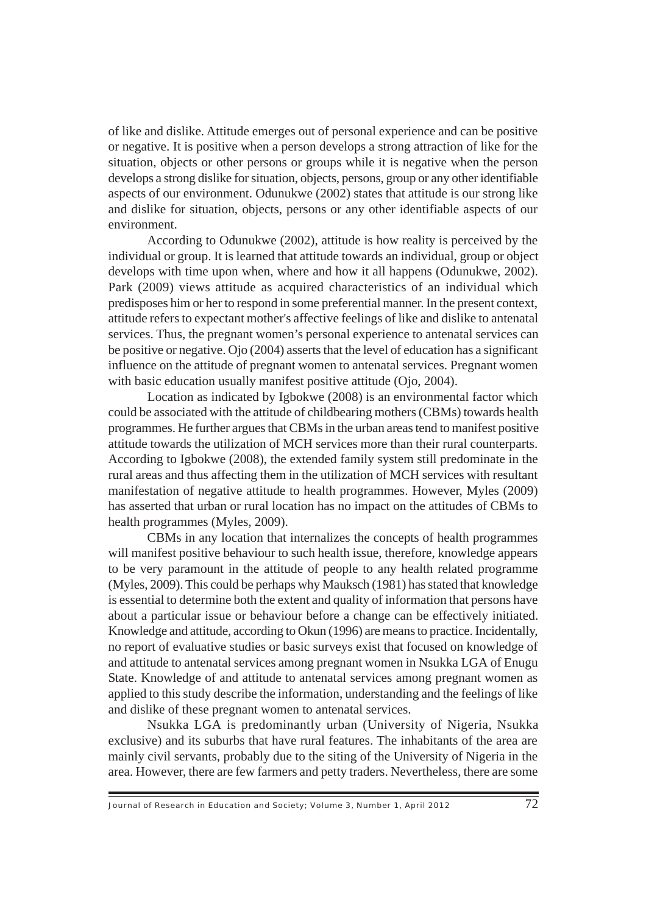of like and dislike. Attitude emerges out of personal experience and can be positive or negative. It is positive when a person develops a strong attraction of like for the situation, objects or other persons or groups while it is negative when the person develops a strong dislike for situation, objects, persons, group or any other identifiable aspects of our environment. Odunukwe (2002) states that attitude is our strong like and dislike for situation, objects, persons or any other identifiable aspects of our environment.

According to Odunukwe (2002), attitude is how reality is perceived by the individual or group. It is learned that attitude towards an individual, group or object develops with time upon when, where and how it all happens (Odunukwe, 2002). Park (2009) views attitude as acquired characteristics of an individual which predisposes him or her to respond in some preferential manner. In the present context, attitude refers to expectant mother's affective feelings of like and dislike to antenatal services. Thus, the pregnant women's personal experience to antenatal services can be positive or negative. Ojo (2004) asserts that the level of education has a significant influence on the attitude of pregnant women to antenatal services. Pregnant women with basic education usually manifest positive attitude (Ojo, 2004).

Location as indicated by Igbokwe (2008) is an environmental factor which could be associated with the attitude of childbearing mothers (CBMs) towards health programmes. He further argues that CBMs in the urban areas tend to manifest positive attitude towards the utilization of MCH services more than their rural counterparts. According to Igbokwe (2008), the extended family system still predominate in the rural areas and thus affecting them in the utilization of MCH services with resultant manifestation of negative attitude to health programmes. However, Myles (2009) has asserted that urban or rural location has no impact on the attitudes of CBMs to health programmes (Myles, 2009).

CBMs in any location that internalizes the concepts of health programmes will manifest positive behaviour to such health issue, therefore, knowledge appears to be very paramount in the attitude of people to any health related programme (Myles, 2009). This could be perhaps why Mauksch (1981) has stated that knowledge is essential to determine both the extent and quality of information that persons have about a particular issue or behaviour before a change can be effectively initiated. Knowledge and attitude, according to Okun (1996) are means to practice. Incidentally, no report of evaluative studies or basic surveys exist that focused on knowledge of and attitude to antenatal services among pregnant women in Nsukka LGA of Enugu State. Knowledge of and attitude to antenatal services among pregnant women as applied to this study describe the information, understanding and the feelings of like and dislike of these pregnant women to antenatal services.

Nsukka LGA is predominantly urban (University of Nigeria, Nsukka exclusive) and its suburbs that have rural features. The inhabitants of the area are mainly civil servants, probably due to the siting of the University of Nigeria in the area. However, there are few farmers and petty traders. Nevertheless, there are some

 $\frac{1}{2}$  Journal of Research in Education and Society; Volume 3, Number 1, April 2012  $\frac{72}{2}$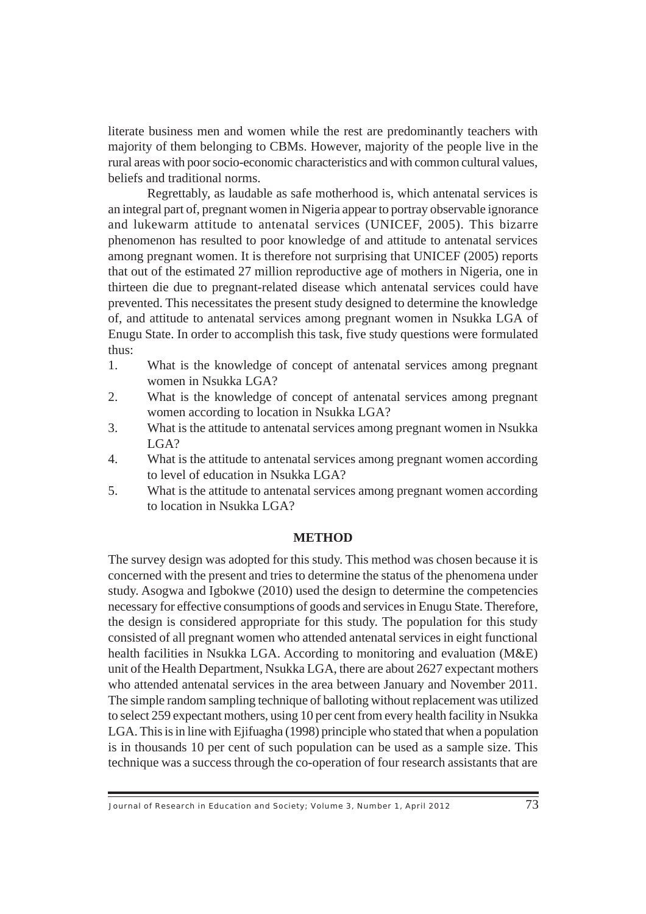literate business men and women while the rest are predominantly teachers with majority of them belonging to CBMs. However, majority of the people live in the rural areas with poor socio-economic characteristics and with common cultural values, beliefs and traditional norms.

phenomenon has resulted to poor knowledge of and attitude to antenatal services Regrettably, as laudable as safe motherhood is, which antenatal services is an integral part of, pregnant women in Nigeria appear to portray observable ignorance and lukewarm attitude to antenatal services (UNICEF, 2005). This bizarre among pregnant women. It is therefore not surprising that UNICEF (2005) reports that out of the estimated 27 million reproductive age of mothers in Nigeria, one in thirteen die due to pregnant-related disease which antenatal services could have prevented. This necessitates the present study designed to determine the knowledge of, and attitude to antenatal services among pregnant women in Nsukka LGA of Enugu State. In order to accomplish this task, five study questions were formulated thus:

- 1. What is the knowledge of concept of antenatal services among pregnant women in Nsukka LGA?
- 2. What is the knowledge of concept of antenatal services among pregnant women according to location in Nsukka LGA?
- 3. What is the attitude to antenatal services among pregnant women in Nsukka LGA?
- 4. What is the attitude to antenatal services among pregnant women according to level of education in Nsukka LGA?
- 5. What is the attitude to antenatal services among pregnant women according to location in Nsukka LGA?

## **METHOD**

73 LGA. This is in line with Ejifuagha (1998) principle who stated that when a population EGA: This is in the will Efflugate (1990) principle who stated that when a population<br>is in thousands 10 per cent of such population can be used as a sample size. This The survey design was adopted for this study. This method was chosen because it is concerned with the present and tries to determine the status of the phenomena under study. Asogwa and Igbokwe (2010) used the design to determine the competencies necessary for effective consumptions of goods and services in Enugu State. Therefore, the design is considered appropriate for this study. The population for this study consisted of all pregnant women who attended antenatal services in eight functional health facilities in Nsukka LGA. According to monitoring and evaluation (M&E) unit of the Health Department, Nsukka LGA, there are about 2627 expectant mothers who attended antenatal services in the area between January and November 2011. The simple random sampling technique of balloting without replacement was utilized to select 259 expectant mothers, using 10 per cent from every health facility in Nsukka technique was a success through the co-operation of four research assistants that are

Journal of Research in Education and Society; Volume 3, Number 1, April 2012  $\overline{73}$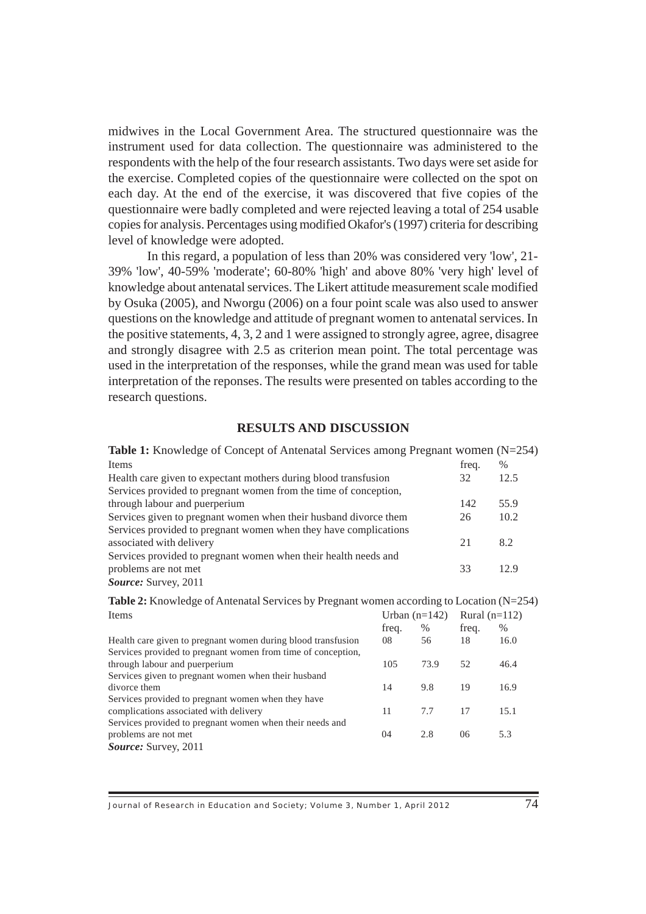midwives in the Local Government Area. The structured questionnaire was the instrument used for data collection. The questionnaire was administered to the respondents with the help of the four research assistants. Two days were set aside for the exercise. Completed copies of the questionnaire were collected on the spot on each day. At the end of the exercise, it was discovered that five copies of the questionnaire were badly completed and were rejected leaving a total of 254 usable copies for analysis. Percentages using modified Okafor's (1997) criteria for describing level of knowledge were adopted.

In this regard, a population of less than 20% was considered very 'low', 21- 39% 'low', 40-59% 'moderate'; 60-80% 'high' and above 80% 'very high' level of knowledge about antenatal services. The Likert attitude measurement scale modified by Osuka (2005), and Nworgu (2006) on a four point scale was also used to answer questions on the knowledge and attitude of pregnant women to antenatal services. In the positive statements, 4, 3, 2 and 1 were assigned to strongly agree, agree, disagree and strongly disagree with 2.5 as criterion mean point. The total percentage was used in the interpretation of the responses, while the grand mean was used for table interpretation of the reponses. The results were presented on tables according to the research questions.

### **RESULTS AND DISCUSSION**

| <b>Table 1:</b> Knowledge of Concept of Antenatal Services among Pregnant women $(N=254)$ |       |      |
|-------------------------------------------------------------------------------------------|-------|------|
| Items                                                                                     | freq. | $\%$ |
| Health care given to expectant mothers during blood transfusion                           | 32    | 12.5 |
| Services provided to pregnant women from the time of conception,                          |       |      |
| through labour and puerperium                                                             | 142   | 55.9 |
| Services given to pregnant women when their husband divorce them                          | 26    | 10.2 |
| Services provided to pregnant women when they have complications                          |       |      |
| associated with delivery                                                                  | 21    | 8.2  |
| Services provided to pregnant women when their health needs and                           |       |      |
| problems are not met                                                                      | 33    | 12.9 |
| Source: Survey, 2011                                                                      |       |      |

**Table 2:** Knowledge of Antenatal Services by Pregnant women according to Location (N=254)  $I$ <sub>rhan</sub>  $(n=142)$  Rural  $(n=112)$ 

| Tems                                                         | $U$ rban (n=142) |      | $Rurai (n=112)$ |      |
|--------------------------------------------------------------|------------------|------|-----------------|------|
|                                                              | freq.            | $\%$ | freq.           | $\%$ |
| Health care given to pregnant women during blood transfusion | 08               | 56   | 18              | 16.0 |
| Services provided to pregnant women from time of conception, |                  |      |                 |      |
| through labour and puerperium                                | 105              | 73.9 | 52              | 46.4 |
| Services given to pregnant women when their husband          |                  |      |                 |      |
| divorce them                                                 | 14               | 9.8  | 19              | 16.9 |
| Services provided to pregnant women when they have           |                  |      |                 |      |
| complications associated with delivery                       | 11               | 7.7  | 17              | 15.1 |
| Services provided to pregnant women when their needs and     |                  |      |                 |      |
| problems are not met                                         | 04               | 2.8  | 06              | 5.3  |
| <b>Source:</b> Survey, 2011                                  |                  |      |                 |      |

Journal of Research in Education and Society; Volume 3, Number 1, April 2012 74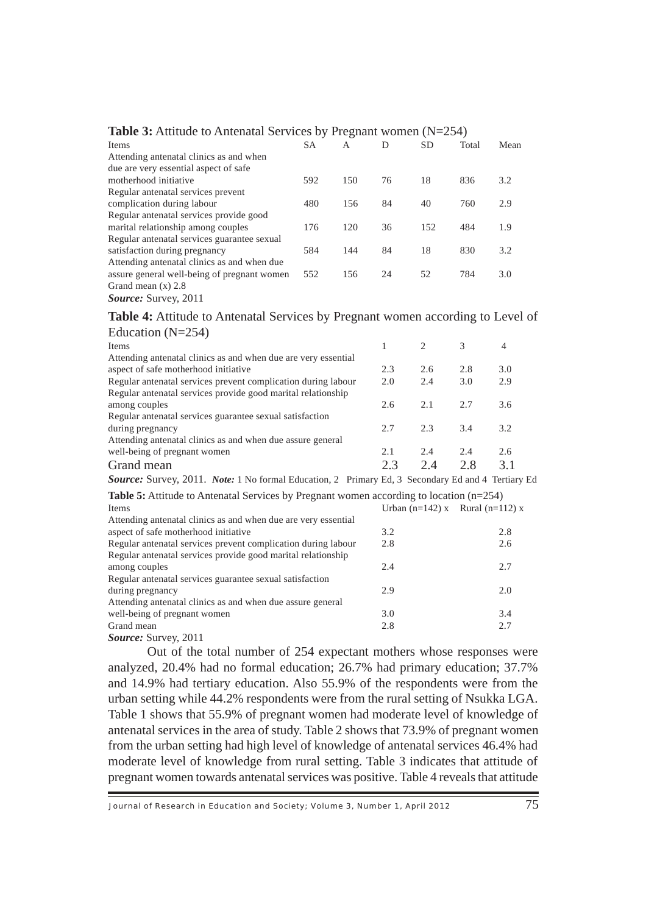| <b>THEIR DETAILLERS</b> TO THILLING BUT TICLE OF THE LIMIT WOLFFUL $(11 - 201)$ |           |     |    |           |       |      |
|---------------------------------------------------------------------------------|-----------|-----|----|-----------|-------|------|
| Items                                                                           | <b>SA</b> | A   | D  | <b>SD</b> | Total | Mean |
| Attending antenatal clinics as and when                                         |           |     |    |           |       |      |
| due are very essential aspect of safe                                           |           |     |    |           |       |      |
| motherhood initiative                                                           | 592       | 150 | 76 | 18        | 836   | 3.2  |
| Regular antenatal services prevent                                              |           |     |    |           |       |      |
| complication during labour                                                      | 480       | 156 | 84 | 40        | 760   | 2.9  |
| Regular antenatal services provide good                                         |           |     |    |           |       |      |
| marital relationship among couples                                              | 176       | 120 | 36 | 152       | 484   | 1.9  |
| Regular antenatal services guarantee sexual                                     |           |     |    |           |       |      |
| satisfaction during pregnancy                                                   | 584       | 144 | 84 | 18        | 830   | 3.2  |
| Attending antenatal clinics as and when due                                     |           |     |    |           |       |      |
| assure general well-being of pregnant women                                     | 552       | 156 | 24 | 52        | 784   | 3.0  |
| Grand mean $(x)$ 2.8                                                            |           |     |    |           |       |      |
| <b>Source:</b> Survey, 2011                                                     |           |     |    |           |       |      |

## **Table 3:** Attitude to Antenatal Services by Pregnant women (N=254)

**Table 4:** Attitude to Antenatal Services by Pregnant women according to Level of

| Education $(N=254)$                                                                               |     |                                 |     |     |  |
|---------------------------------------------------------------------------------------------------|-----|---------------------------------|-----|-----|--|
| <b>Items</b>                                                                                      | 1   | 2                               | 3   | 4   |  |
| Attending antenatal clinics as and when due are very essential                                    |     |                                 |     |     |  |
| aspect of safe motherhood initiative                                                              | 2.3 | 2.6                             | 2.8 | 3.0 |  |
| Regular antenatal services prevent complication during labour                                     | 2.0 | 2.4                             | 3.0 | 2.9 |  |
| Regular antenatal services provide good marital relationship                                      |     |                                 |     |     |  |
| among couples                                                                                     | 2.6 | 2.1                             | 2.7 | 3.6 |  |
| Regular antenatal services guarantee sexual satisfaction                                          |     |                                 |     |     |  |
| during pregnancy                                                                                  | 2.7 | 2.3                             | 3.4 | 3.2 |  |
| Attending antenatal clinics as and when due assure general                                        |     |                                 |     |     |  |
| well-being of pregnant women                                                                      | 2.1 | 2.4                             | 2.4 | 2.6 |  |
| Grand mean                                                                                        | 2.3 | 2.4                             | 2.8 | 3.1 |  |
| Source: Survey, 2011. Note: 1 No formal Education, 2 Primary Ed, 3 Secondary Ed and 4 Tertiary Ed |     |                                 |     |     |  |
| <b>Table 5:</b> Attitude to Antenatal Services by Pregnant women according to location $(n=254)$  |     |                                 |     |     |  |
| <b>Items</b>                                                                                      |     | Urban (n=142) x Rural (n=112) x |     |     |  |
| Attending antenatal clinics as and when due are very essential                                    |     |                                 |     |     |  |
| aspect of safe motherhood initiative                                                              | 3.2 |                                 |     | 2.8 |  |
| Regular antenatal services prevent complication during labour                                     | 2.8 |                                 |     | 2.6 |  |
| Regular antenatal services provide good marital relationship                                      |     |                                 |     |     |  |
| among couples                                                                                     | 2.4 |                                 |     | 2.7 |  |
| Regular antenatal services guarantee sexual satisfaction                                          |     |                                 |     |     |  |
| during pregnancy                                                                                  | 2.9 |                                 |     | 2.0 |  |
| Attending antenatal clinics as and when due assure general                                        |     |                                 |     |     |  |
| well-being of pregnant women                                                                      | 3.0 |                                 |     | 3.4 |  |
| Grand mean                                                                                        | 2.8 |                                 |     | 2.7 |  |

*Source:* Survey, 2011

Fractor 3 shows that 55.3% or pregnant women had inoderate force of the wredge of antenatal services in the area of study. Table 2 shows that 73.9% of pregnant women from the urban setting had high level of knowledge of antenatal services 46.4% had Out of the total number of 254 expectant mothers whose responses were analyzed, 20.4% had no formal education; 26.7% had primary education; 37.7% and 14.9% had tertiary education. Also 55.9% of the respondents were from the urban setting while 44.2% respondents were from the rural setting of Nsukka LGA. Table 1 shows that 55.9% of pregnant women had moderate level of knowledge of moderate level of knowledge from rural setting. Table 3 indicates that attitude of pregnant women towards antenatal services was positive. Table 4 reveals that attitude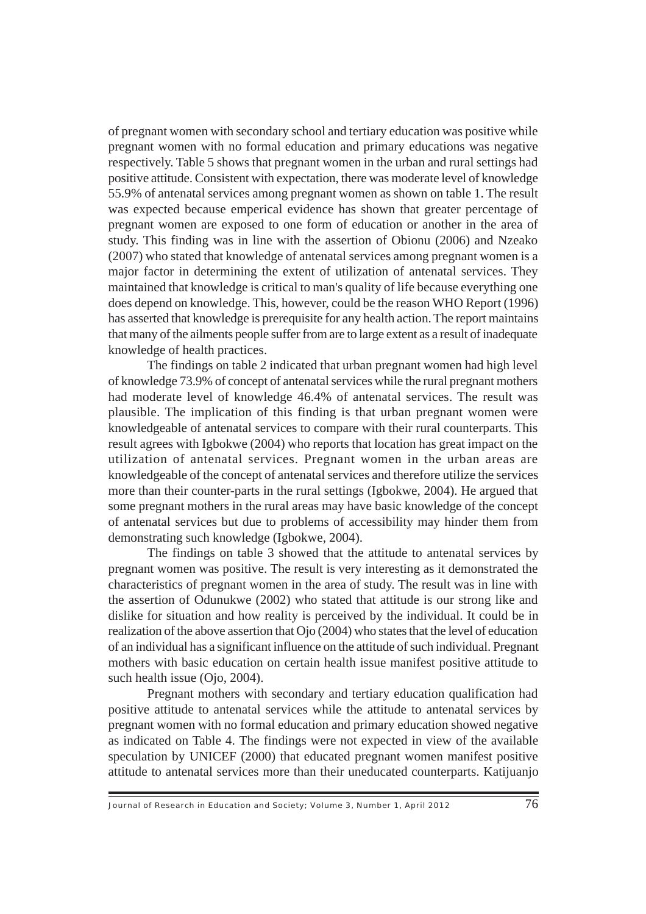of pregnant women with secondary school and tertiary education was positive while pregnant women with no formal education and primary educations was negative respectively. Table 5 shows that pregnant women in the urban and rural settings had positive attitude. Consistent with expectation, there was moderate level of knowledge 55.9% of antenatal services among pregnant women as shown on table 1. The result was expected because emperical evidence has shown that greater percentage of pregnant women are exposed to one form of education or another in the area of study. This finding was in line with the assertion of Obionu (2006) and Nzeako (2007) who stated that knowledge of antenatal services among pregnant women is a major factor in determining the extent of utilization of antenatal services. They maintained that knowledge is critical to man's quality of life because everything one does depend on knowledge. This, however, could be the reason WHO Report (1996) has asserted that knowledge is prerequisite for any health action. The report maintains that many of the ailments people suffer from are to large extent as a result of inadequate knowledge of health practices.

The findings on table 2 indicated that urban pregnant women had high level of knowledge 73.9% of concept of antenatal services while the rural pregnant mothers had moderate level of knowledge 46.4% of antenatal services. The result was plausible. The implication of this finding is that urban pregnant women were knowledgeable of antenatal services to compare with their rural counterparts. This result agrees with Igbokwe (2004) who reports that location has great impact on the utilization of antenatal services. Pregnant women in the urban areas are knowledgeable of the concept of antenatal services and therefore utilize the services more than their counter-parts in the rural settings (Igbokwe, 2004). He argued that some pregnant mothers in the rural areas may have basic knowledge of the concept of antenatal services but due to problems of accessibility may hinder them from demonstrating such knowledge (Igbokwe, 2004).

The findings on table 3 showed that the attitude to antenatal services by pregnant women was positive. The result is very interesting as it demonstrated the characteristics of pregnant women in the area of study. The result was in line with the assertion of Odunukwe (2002) who stated that attitude is our strong like and dislike for situation and how reality is perceived by the individual. It could be in realization of the above assertion that Ojo (2004) who states that the level of education of an individual has a significant influence on the attitude of such individual. Pregnant mothers with basic education on certain health issue manifest positive attitude to such health issue (Ojo, 2004).

pregnant women with no formal education and primary education showed negative Pregnant mothers with secondary and tertiary education qualification had positive attitude to antenatal services while the attitude to antenatal services by as indicated on Table 4. The findings were not expected in view of the available speculation by UNICEF (2000) that educated pregnant women manifest positive attitude to antenatal services more than their uneducated counterparts. Katijuanjo

Journal of Research in Education and Society; Volume 3, Number 1, April 2012  $\overline{76}$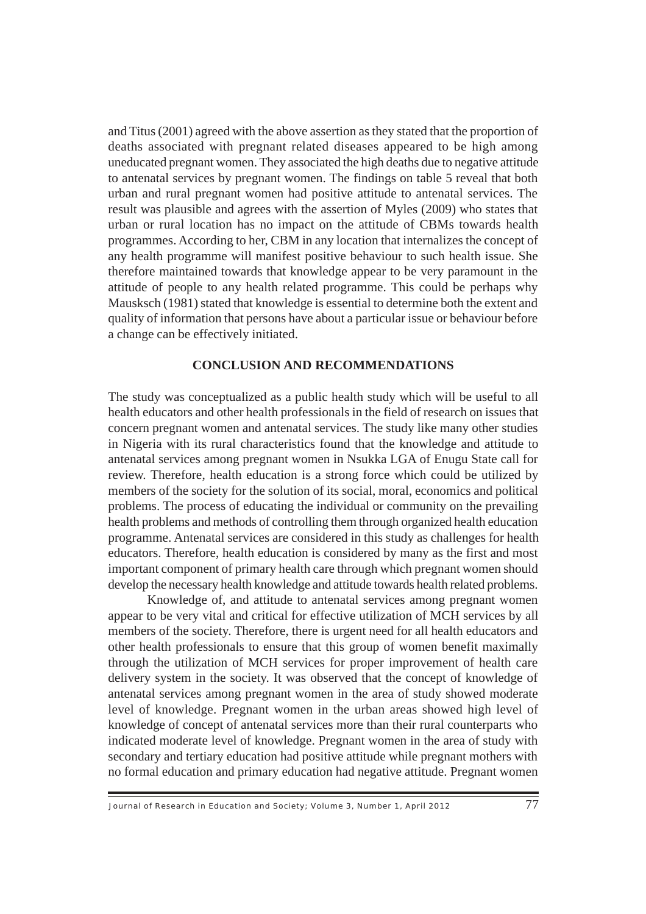programmes. According to her, CBM in any location that internalizes the concept of and Titus (2001) agreed with the above assertion as they stated that the proportion of deaths associated with pregnant related diseases appeared to be high among uneducated pregnant women. They associated the high deaths due to negative attitude to antenatal services by pregnant women. The findings on table 5 reveal that both urban and rural pregnant women had positive attitude to antenatal services. The result was plausible and agrees with the assertion of Myles (2009) who states that urban or rural location has no impact on the attitude of CBMs towards health any health programme will manifest positive behaviour to such health issue. She therefore maintained towards that knowledge appear to be very paramount in the attitude of people to any health related programme. This could be perhaps why Mausksch (1981) stated that knowledge is essential to determine both the extent and quality of information that persons have about a particular issue or behaviour before a change can be effectively initiated.

# **CONCLUSION AND RECOMMENDATIONS**

The study was conceptualized as a public health study which will be useful to all health educators and other health professionals in the field of research on issues that concern pregnant women and antenatal services. The study like many other studies in Nigeria with its rural characteristics found that the knowledge and attitude to antenatal services among pregnant women in Nsukka LGA of Enugu State call for review. Therefore, health education is a strong force which could be utilized by members of the society for the solution of its social, moral, economics and political problems. The process of educating the individual or community on the prevailing health problems and methods of controlling them through organized health education programme. Antenatal services are considered in this study as challenges for health educators. Therefore, health education is considered by many as the first and most important component of primary health care through which pregnant women should develop the necessary health knowledge and attitude towards health related problems.

knowledge of concept of antenatal services more than their rural counterparts who indicated moderate level of knowledge. Pregnant women in the area of study with Knowledge of, and attitude to antenatal services among pregnant women appear to be very vital and critical for effective utilization of MCH services by all members of the society. Therefore, there is urgent need for all health educators and other health professionals to ensure that this group of women benefit maximally through the utilization of MCH services for proper improvement of health care delivery system in the society. It was observed that the concept of knowledge of antenatal services among pregnant women in the area of study showed moderate level of knowledge. Pregnant women in the urban areas showed high level of secondary and tertiary education had positive attitude while pregnant mothers with no formal education and primary education had negative attitude. Pregnant women

Journal of Research in Education and Society; Volume 3, Number 1, April 2012 77